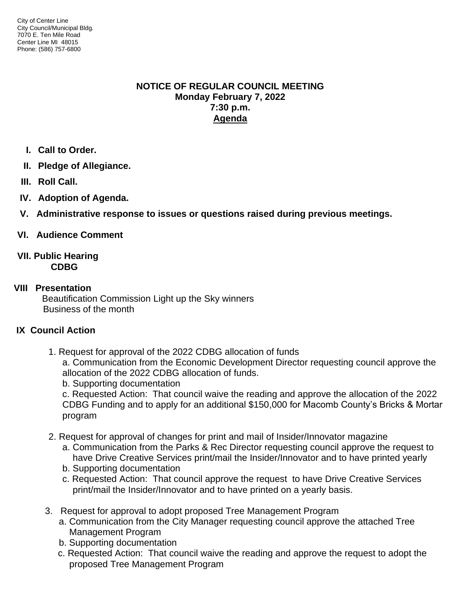## **NOTICE OF REGULAR COUNCIL MEETING Monday February 7, 2022 7:30 p.m. Agenda**

- **I. Call to Order.**
- **II. Pledge of Allegiance.**
- **III. Roll Call.**
- **IV. Adoption of Agenda.**
- **V. Administrative response to issues or questions raised during previous meetings.**

# **VI. Audience Comment**

## **VII. Public Hearing CDBG**

## **VIII Presentation**

Beautification Commission Light up the Sky winners Business of the month

## **IX Council Action**

1. Request for approval of the 2022 CDBG allocation of funds

a. Communication from the Economic Development Director requesting council approve the allocation of the 2022 CDBG allocation of funds.

b. Supporting documentation

c. Requested Action: That council waive the reading and approve the allocation of the 2022 CDBG Funding and to apply for an additional \$150,000 for Macomb County's Bricks & Mortar program

- 2. Request for approval of changes for print and mail of Insider/Innovator magazine
	- a. Communication from the Parks & Rec Director requesting council approve the request to have Drive Creative Services print/mail the Insider/Innovator and to have printed yearly
	- b. Supporting documentation
	- c. Requested Action: That council approve the request to have Drive Creative Services print/mail the Insider/Innovator and to have printed on a yearly basis.
- 3. Request for approval to adopt proposed Tree Management Program
	- a. Communication from the City Manager requesting council approve the attached Tree Management Program
	- b. Supporting documentation
	- c. Requested Action: That council waive the reading and approve the request to adopt the proposed Tree Management Program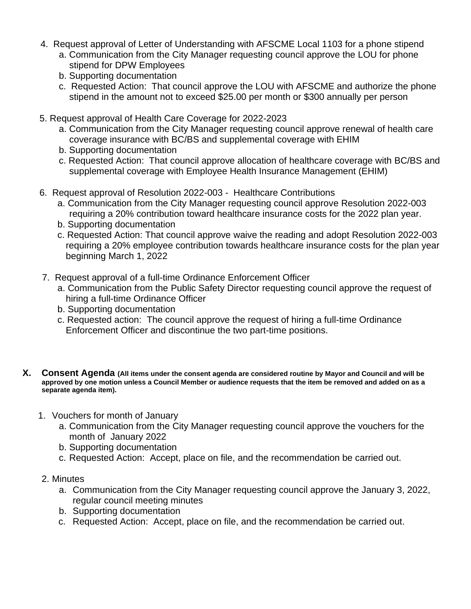- 4. Request approval of Letter of Understanding with AFSCME Local 1103 for a phone stipend
	- a. Communication from the City Manager requesting council approve the LOU for phone stipend for DPW Employees
	- b. Supporting documentation
	- c. Requested Action: That council approve the LOU with AFSCME and authorize the phone stipend in the amount not to exceed \$25.00 per month or \$300 annually per person
- 5. Request approval of Health Care Coverage for 2022-2023
	- a. Communication from the City Manager requesting council approve renewal of health care coverage insurance with BC/BS and supplemental coverage with EHIM
	- b. Supporting documentation
	- c. Requested Action: That council approve allocation of healthcare coverage with BC/BS and supplemental coverage with Employee Health Insurance Management (EHIM)
- 6. Request approval of Resolution 2022-003 Healthcare Contributions
	- a. Communication from the City Manager requesting council approve Resolution 2022-003 requiring a 20% contribution toward healthcare insurance costs for the 2022 plan year.
	- b. Supporting documentation
	- c. Requested Action: That council approve waive the reading and adopt Resolution 2022-003 requiring a 20% employee contribution towards healthcare insurance costs for the plan year beginning March 1, 2022
- 7. Request approval of a full-time Ordinance Enforcement Officer
	- a. Communication from the Public Safety Director requesting council approve the request of hiring a full-time Ordinance Officer
	- b. Supporting documentation
	- c. Requested action: The council approve the request of hiring a full-time Ordinance Enforcement Officer and discontinue the two part-time positions.
- **X. Consent Agenda (All items under the consent agenda are considered routine by Mayor and Council and will be approved by one motion unless a Council Member or audience requests that the item be removed and added on as a separate agenda item).**
	- 1. Vouchers for month of January
		- a. Communication from the City Manager requesting council approve the vouchers for the month of January 2022
		- b. Supporting documentation
		- c. Requested Action: Accept, place on file, and the recommendation be carried out.
	- 2. Minutes
		- a. Communication from the City Manager requesting council approve the January 3, 2022, regular council meeting minutes
		- b. Supporting documentation
		- c. Requested Action: Accept, place on file, and the recommendation be carried out.